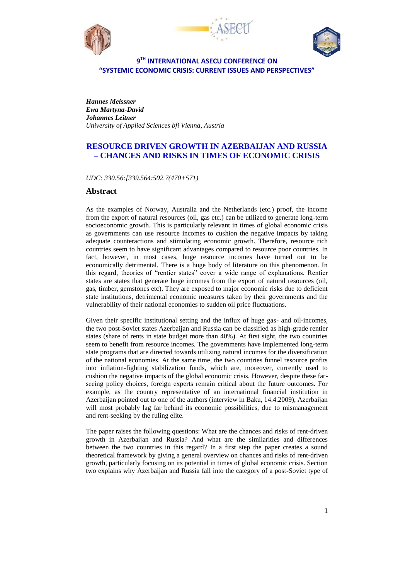





*Hannes Meissner Ewa Martyna-David Johannes Leitner University of Applied Sciences bfi Vienna, Austria*

# **RESOURCE DRIVEN GROWTH IN AZERBAIJAN AND RUSSIA – CHANCES AND RISKS IN TIMES OF ECONOMIC CRISIS**

*UDC: 330.56:[339.564:502.7(470+571)*

### **Abstract**

As the examples of Norway, Australia and the Netherlands (etc.) proof, the income from the export of natural resources (oil, gas etc.) can be utilized to generate long-term socioeconomic growth. This is particularly relevant in times of global economic crisis as governments can use resource incomes to cushion the negative impacts by taking adequate counteractions and stimulating economic growth. Therefore, resource rich countries seem to have significant advantages compared to resource poor countries. In fact, however, in most cases, huge resource incomes have turned out to be economically detrimental. There is a huge body of literature on this phenomenon. In this regard, theories of "rentier states" cover a wide range of explanations. Rentier states are states that generate huge incomes from the export of natural resources (oil, gas, timber, gemstones etc). They are exposed to major economic risks due to deficient state institutions, detrimental economic measures taken by their governments and the vulnerability of their national economies to sudden oil price fluctuations.

Given their specific institutional setting and the influx of huge gas- and oil-incomes, the two post-Soviet states Azerbaijan and Russia can be classified as high-grade rentier states (share of rents in state budget more than 40%). At first sight, the two countries seem to benefit from resource incomes. The governments have implemented long-term state programs that are directed towards utilizing natural incomes for the diversification of the national economies. At the same time, the two countries funnel resource profits into inflation-fighting stabilization funds, which are, moreover, currently used to cushion the negative impacts of the global economic crisis. However, despite these farseeing policy choices, foreign experts remain critical about the future outcomes. For example, as the country representative of an international financial institution in Azerbaijan pointed out to one of the authors (interview in Baku, 14.4.2009), Azerbaijan will most probably lag far behind its economic possibilities, due to mismanagement and rent-seeking by the ruling elite.

The paper raises the following questions: What are the chances and risks of rent-driven growth in Azerbaijan and Russia? And what are the similarities and differences between the two countries in this regard? In a first step the paper creates a sound theoretical framework by giving a general overview on chances and risks of rent-driven growth, particularly focusing on its potential in times of global economic crisis. Section two explains why Azerbaijan and Russia fall into the category of a post-Soviet type of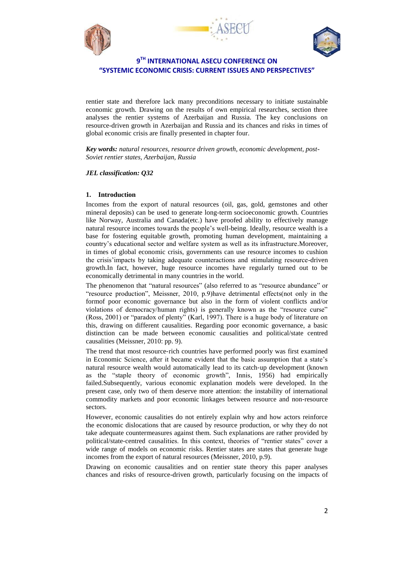





rentier state and therefore lack many preconditions necessary to initiate sustainable economic growth. Drawing on the results of own empirical researches, section three analyses the rentier systems of Azerbaijan and Russia. The key conclusions on resource-driven growth in Azerbaijan and Russia and its chances and risks in times of global economic crisis are finally presented in chapter four.

*Key words: natural resources, resource driven growth, economic development, post-Soviet rentier states, Azerbaijan, Russia* 

*JEL classification: Q32*

#### **1. Introduction**

Incomes from the export of natural resources (oil, gas, gold, gemstones and other mineral deposits) can be used to generate long-term socioeconomic growth. Countries like Norway, Australia and Canada(etc.) have proofed ability to effectively manage natural resource incomes towards the people's well-being. Ideally, resource wealth is a base for fostering equitable growth, promoting human development, maintaining a country's educational sector and welfare system as well as its infrastructure.Moreover, in times of global economic crisis, governments can use resource incomes to cushion the crisis'impacts by taking adequate counteractions and stimulating resource-driven growth.In fact, however, huge resource incomes have regularly turned out to be economically detrimental in many countries in the world.

The phenomenon that "natural resources" (also referred to as "resource abundance" or "resource production", Meissner, 2010, p.9)have detrimental effects(not only in the formof poor economic governance but also in the form of violent conflicts and/or violations of democracy/human rights) is generally known as the "resource curse" (Ross, 2001) or "paradox of plenty" (Karl, 1997). There is a huge body of literature on this, drawing on different causalities. Regarding poor economic governance, a basic distinction can be made between economic causalities and political/state centred causalities (Meissner, 2010: pp. 9).

The trend that most resource‐rich countries have performed poorly was first examined in Economic Science, after it became evident that the basic assumption that a state's natural resource wealth would automatically lead to its catch-up development (known as the "staple theory of economic growth", Innis, 1956) had empirically failed.Subsequently, various economic explanation models were developed. In the present case, only two of them deserve more attention: the instability of international commodity markets and poor economic linkages between resource and non‐resource sectors.

However, economic causalities do not entirely explain why and how actors reinforce the economic dislocations that are caused by resource production, or why they do not take adequate countermeasures against them. Such explanations are rather provided by political/state‐centred causalities. In this context, theories of "rentier states" cover a wide range of models on economic risks. Rentier states are states that generate huge incomes from the export of natural resources (Meissner, 2010, p.9).

Drawing on economic causalities and on rentier state theory this paper analyses chances and risks of resource-driven growth, particularly focusing on the impacts of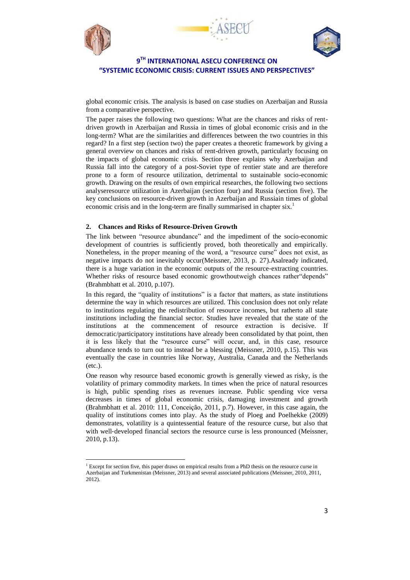

**.** 





**9 TH INTERNATIONAL ASECU CONFERENCE ON "SYSTEMIC ECONOMIC CRISIS: CURRENT ISSUES AND PERSPECTIVES"**

global economic crisis. The analysis is based on case studies on Azerbaijan and Russia from a comparative perspective.

The paper raises the following two questions: What are the chances and risks of rentdriven growth in Azerbaijan and Russia in times of global economic crisis and in the long-term? What are the similarities and differences between the two countries in this regard? In a first step (section two) the paper creates a theoretic framework by giving a general overview on chances and risks of rent-driven growth, particularly focusing on the impacts of global economic crisis. Section three explains why Azerbaijan and Russia fall into the category of a post-Soviet type of rentier state and are therefore prone to a form of resource utilization, detrimental to sustainable socio-economic growth. Drawing on the results of own empirical researches, the following two sections analyseresource utilization in Azerbaijan (section four) and Russia (section five). The key conclusions on resource-driven growth in Azerbaijan and Russiain times of global economic crisis and in the long-term are finally summarised in chapter six.<sup>1</sup>

#### **2. Chances and Risks of Resource-Driven Growth**

The link between "resource abundance" and the impediment of the socio-economic development of countries is sufficiently proved, both theoretically and empirically. Nonetheless, in the proper meaning of the word, a "resource curse" does not exist, as negative impacts do not inevitably occur(Meissner, 2013, p. 27).Asalready indicated, there is a huge variation in the economic outputs of the resource‐extracting countries. Whether risks of resource based economic growthoutweigh chances rather "depends" (Brahmbhatt et al. 2010, p.107).

In this regard, the "quality of institutions" is a factor that matters, as state institutions determine the way in which resources are utilized. This conclusion does not only relate to institutions regulating the redistribution of resource incomes, but ratherto all state institutions including the financial sector. Studies have revealed that the state of the institutions at the commencement of resource extraction is decisive. If democratic/participatory institutions have already been consolidated by that point, then it is less likely that the "resource curse" will occur, and, in this case, resource abundance tends to turn out to instead be a blessing (Meissner, 2010, p.15). This was eventually the case in countries like Norway, Australia, Canada and the Netherlands (etc.).

One reason why resource based economic growth is generally viewed as risky, is the volatility of primary commodity markets. In times when the price of natural resources is high, public spending rises as revenues increase. Public spending vice versa decreases in times of global economic crisis, damaging investment and growth (Brahmbhatt et al. 2010: 111, Conceição, 2011, p.7). However, in this case again, the quality of institutions comes into play. As the study of Ploeg and Poelhekke (2009) demonstrates, volatility is a quintessential feature of the resource curse, but also that with well-developed financial sectors the resource curse is less pronounced (Meissner, 2010, p.13).

<sup>&</sup>lt;sup>1</sup> Except for section five, this paper draws on empirical results from a PhD thesis on the resource curse in Azerbaijan and Turkmenistan (Meissner, 2013) and several associated publications (Meissner, 2010, 2011, 2012).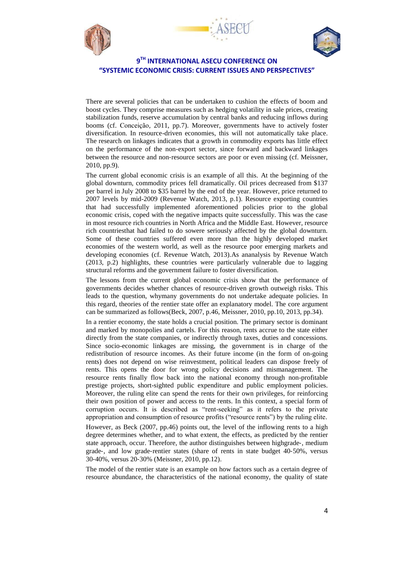





There are several policies that can be undertaken to cushion the effects of boom and boost cycles. They comprise measures such as hedging volatility in sale prices, creating stabilization funds, reserve accumulation by central banks and reducing inflows during booms (cf. Conceição, 2011, pp.7). Moreover, governments have to actively foster diversification. In resource-driven economies, this will not automatically take place. The research on linkages indicates that a growth in commodity exports has little effect on the performance of the non‐export sector, since forward and backward linkages between the resource and non-resource sectors are poor or even missing (cf. Meissner, 2010, pp.9).

The current global economic crisis is an example of all this. At the beginning of the global downturn, commodity prices fell dramatically. Oil prices decreased from \$137 per barrel in July 2008 to \$35 barrel by the end of the year. However, price returned to 2007 levels by mid-2009 (Revenue Watch, 2013, p.1). Resource exporting countries that had successfully implemented aforementioned policies prior to the global economic crisis, coped with the negative impacts quite successfully. This was the case in most resource rich countries in North Africa and the Middle East. However, resource rich countriesthat had failed to do sowere seriously affected by the global downturn. Some of these countries suffered even more than the highly developed market economies of the western world, as well as the resource poor emerging markets and developing economies (cf. Revenue Watch, 2013).As ananalysis by Revenue Watch (2013, p.2) highlights, these countries were particularly vulnerable due to lagging structural reforms and the government failure to foster diversification.

The lessons from the current global economic crisis show that the performance of governments decides whether chances of resource-driven growth outweigh risks. This leads to the question, whymany governments do not undertake adequate policies. In this regard, theories of the rentier state offer an explanatory model. The core argument can be summarized as follows(Beck, 2007, p.46, Meissner, 2010, pp.10, 2013, pp.34).

In a rentier economy, the state holds a crucial position. The primary sector is dominant and marked by monopolies and cartels. For this reason, rents accrue to the state either directly from the state companies, or indirectly through taxes, duties and concessions. Since socio-economic linkages are missing, the government is in charge of the redistribution of resource incomes. As their future income (in the form of on-going rents) does not depend on wise reinvestment, political leaders can dispose freely of rents. This opens the door for wrong policy decisions and mismanagement. The resource rents finally flow back into the national economy through non-profitable prestige projects, short-sighted public expenditure and public employment policies. Moreover, the ruling elite can spend the rents for their own privileges, for reinforcing their own position of power and access to the rents. In this context, a special form of corruption occurs. It is described as "rent-seeking" as it refers to the private appropriation and consumption of resource profits ("resource rents") by the ruling elite.

However, as Beck (2007, pp.46) points out, the level of the inflowing rents to a high degree determines whether, and to what extent, the effects, as predicted by the rentier state approach, occur. Therefore, the author distinguishes between highgrade‐, medium grade‐, and low grade‐rentier states (share of rents in state budget 40‐50%, versus 30‐40%, versus 20‐30% (Meissner, 2010, pp.12).

The model of the rentier state is an example on how factors such as a certain degree of resource abundance, the characteristics of the national economy, the quality of state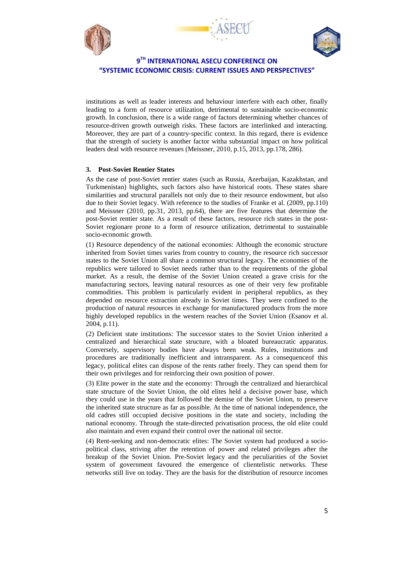





institutions as well as leader interests and behaviour interfere with each other, finally leading to a form of resource utilization, detrimental to sustainable socio-economic growth. In conclusion, there is a wide range of factors determining whether chances of resource-driven growth outweigh risks. These factors are interlinked and interacting. Moreover, they are part of a country-specific context. In this regard, there is evidence that the strength of society is another factor witha substantial impact on how political leaders deal with resource revenues (Meissner, 2010, p.15, 2013, pp.178, 286).

#### **3. Post-Soviet Rentier States**

As the case of post-Soviet rentier states (such as Russia, Azerbaijan, Kazakhstan, and Turkmenistan) highlights, such factors also have historical roots. These states share similarities and structural parallels not only due to their resource endowment, but also due to their Soviet legacy. With reference to the studies of Franke et al. (2009, pp.110) and Meissner (2010, pp.31, 2013, pp.64), there are five features that determine the post-Soviet rentier state. As a result of these factors, resource rich states in the post-Soviet regionare prone to a form of resource utilization, detrimental to sustainable socio-economic growth.

(1) Resource dependency of the national economies: Although the economic structure inherited from Soviet times varies from country to country, the resource rich successor states to the Soviet Union all share a common structural legacy. The economies of the republics were tailored to Soviet needs rather than to the requirements of the global market. As a result, the demise of the Soviet Union created a grave crisis for the manufacturing sectors, leaving natural resources as one of their very few profitable commodities. This problem is particularly evident in peripheral republics, as they depended on resource extraction already in Soviet times. They were confined to the production of natural resources in exchange for manufactured products from the more highly developed republics in the western reaches of the Soviet Union (Esanov et al. 2004, p.11).

(2) Deficient state institutions: The successor states to the Soviet Union inherited a centralized and hierarchical state structure, with a bloated bureaucratic apparatus. Conversely, supervisory bodies have always been weak. Rules, institutions and procedures are traditionally inefficient and intransparent. As a consequenceof this legacy, political elites can dispose of the rents rather freely. They can spend them for their own privileges and for reinforcing their own position of power.

(3) Elite power in the state and the economy: Through the centralized and hierarchical state structure of the Soviet Union, the old elites held a decisive power base, which they could use in the years that followed the demise of the Soviet Union, to preserve the inherited state structure as far as possible. At the time of national independence, the old cadres still occupied decisive positions in the state and society, including the national economy. Through the state-directed privatisation process, the old elite could also maintain and even expand their control over the national oil sector.

(4) Rent-seeking and non-democratic elites: The Soviet system had produced a sociopolitical class, striving after the retention of power and related privileges after the breakup of the Soviet Union. Pre-Soviet legacy and the peculiarities of the Soviet system of government favoured the emergence of clientelistic networks. These networks still live on today. They are the basis for the distribution of resource incomes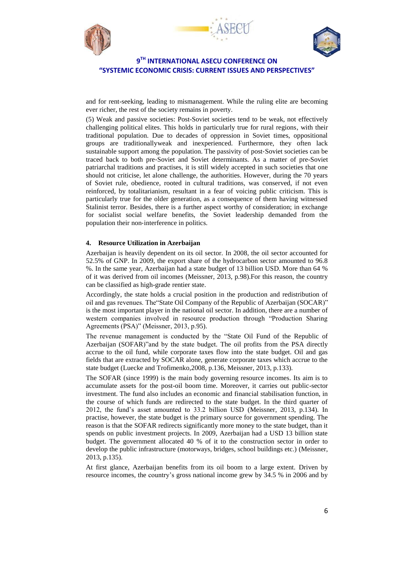





and for rent-seeking, leading to mismanagement. While the ruling elite are becoming ever richer, the rest of the society remains in poverty.

(5) Weak and passive societies: Post-Soviet societies tend to be weak, not effectively challenging political elites. This holds in particularly true for rural regions, with their traditional population. Due to decades of oppression in Soviet times, oppositional groups are traditionallyweak and inexperienced. Furthermore, they often lack sustainable support among the population. The passivity of post‐Soviet societies can be traced back to both pre‐Soviet and Soviet determinants. As a matter of pre-Soviet patriarchal traditions and practises, it is still widely accepted in such societies that one should not criticise, let alone challenge, the authorities. However, during the 70 years of Soviet rule, obedience, rooted in cultural traditions, was conserved, if not even reinforced, by totalitarianism, resultant in a fear of voicing public criticism. This is particularly true for the older generation, as a consequence of them having witnessed Stalinist terror. Besides, there is a further aspect worthy of consideration; in exchange for socialist social welfare benefits, the Soviet leadership demanded from the population their non‐interference in politics.

#### **4. Resource Utilization in Azerbaijan**

Azerbaijan is heavily dependent on its oil sector. In 2008, the oil sector accounted for 52.5% of GNP. In 2009, the export share of the hydrocarbon sector amounted to 96.8 %. In the same year, Azerbaijan had a state budget of 13 billion USD. More than 64 % of it was derived from oil incomes (Meissner, 2013, p.98).For this reason, the country can be classified as high-grade rentier state.

Accordingly, the state holds a crucial position in the production and redistribution of oil and gas revenues. The"State Oil Company of the Republic of Azerbaijan (SOCAR)" is the most important player in the national oil sector. In addition, there are a number of western companies involved in resource production through "Production Sharing Agreements (PSA)" (Meissner, 2013, p.95).

The revenue management is conducted by the "State Oil Fund of the Republic of Azerbaijan (SOFAR)"and by the state budget. The oil profits from the PSA directly accrue to the oil fund, while corporate taxes flow into the state budget. Oil and gas fields that are extracted by SOCAR alone, generate corporate taxes which accrue to the state budget (Luecke and Trofimenko,2008, p.136, Meissner, 2013, p.133).

The SOFAR (since 1999) is the main body governing resource incomes. Its aim is to accumulate assets for the post-oil boom time. Moreover, it carries out public-sector investment. The fund also includes an economic and financial stabilisation function, in the course of which funds are redirected to the state budget. In the third quarter of 2012, the fund's asset amounted to 33.2 billion USD (Meissner, 2013, p.134). In practise, however, the state budget is the primary source for government spending. The reason is that the SOFAR redirects significantly more money to the state budget, than it spends on public investment projects. In 2009, Azerbaijan had a USD 13 billion state budget. The government allocated 40 % of it to the construction sector in order to develop the public infrastructure (motorways, bridges, school buildings etc.) (Meissner, 2013, p.135).

At first glance, Azerbaijan benefits from its oil boom to a large extent. Driven by resource incomes, the country's gross national income grew by 34.5 % in 2006 and by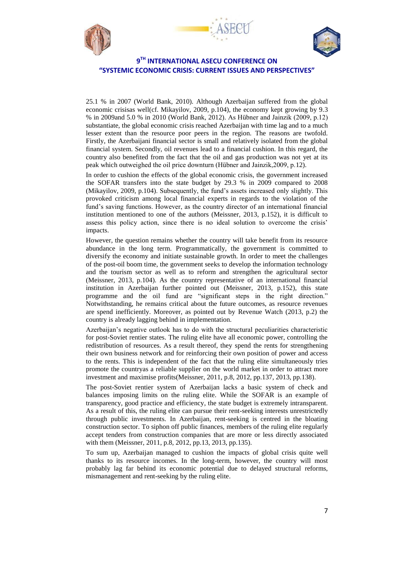





25.1 % in 2007 (World Bank, 2010). Although Azerbaijan suffered from the global economic crisisas well(cf. Mikayilov, 2009, p.104), the economy kept growing by 9.3 % in 2009and 5.0 % in 2010 (World Bank, 2012). As Hübner and Jainzik (2009, p.12) substantiate, the global economic crisis reached Azerbaijan with time lag and to a much lesser extent than the resource poor peers in the region. The reasons are twofold. Firstly, the Azerbaijani financial sector is small and relatively isolated from the global financial system. Secondly, oil revenues lead to a financial cushion. In this regard, the country also benefited from the fact that the oil and gas production was not yet at its peak which outweighed the oil price downturn (Hübner and Jainzik,2009, p.12).

In order to cushion the effects of the global economic crisis, the government increased the SOFAR transfers into the state budget by 29.3 % in 2009 compared to 2008 (Mikayilov, 2009, p.104). Subsequently, the fund's assets increased only slightly. This provoked criticism among local financial experts in regards to the violation of the fund's saving functions. However, as the country director of an international financial institution mentioned to one of the authors (Meissner, 2013, p.152), it is difficult to assess this policy action, since there is no ideal solution to overcome the crisis' impacts.

However, the question remains whether the country will take benefit from its resource abundance in the long term. Programmatically, the government is committed to diversify the economy and initiate sustainable growth. In order to meet the challenges of the post-oil boom time, the government seeks to develop the information technology and the tourism sector as well as to reform and strengthen the agricultural sector (Meissner, 2013, p.104). As the country representative of an international financial institution in Azerbaijan further pointed out (Meissner, 2013, p.152), this state programme and the oil fund are "significant steps in the right direction." Notwithstanding, he remains critical about the future outcomes, as resource revenues are spend inefficiently. Moreover, as pointed out by Revenue Watch (2013, p.2) the country is already lagging behind in implementation.

Azerbaijan's negative outlook has to do with the structural peculiarities characteristic for post-Soviet rentier states. The ruling elite have all economic power, controlling the redistribution of resources. As a result thereof, they spend the rents for strengthening their own business network and for reinforcing their own position of power and access to the rents. This is independent of the fact that the ruling elite simultaneously tries promote the countryas a reliable supplier on the world market in order to attract more investment and maximise profits(Meissner, 2011, p.8, 2012, pp.137, 2013, pp.138).

The post-Soviet rentier system of Azerbaijan lacks a basic system of check and balances imposing limits on the ruling elite. While the SOFAR is an example of transparency, good practice and efficiency, the state budget is extremely intransparent. As a result of this, the ruling elite can pursue their rent-seeking interests unrestrictedly through public investments. In Azerbaijan, rent-seeking is centred in the bloating construction sector. To siphon off public finances, members of the ruling elite regularly accept tenders from construction companies that are more or less directly associated with them (Meissner, 2011, p.8, 2012, pp.13, 2013, pp.135).

To sum up, Azerbaijan managed to cushion the impacts of global crisis quite well thanks to its resource incomes. In the long-term, however, the country will most probably lag far behind its economic potential due to delayed structural reforms, mismanagement and rent-seeking by the ruling elite.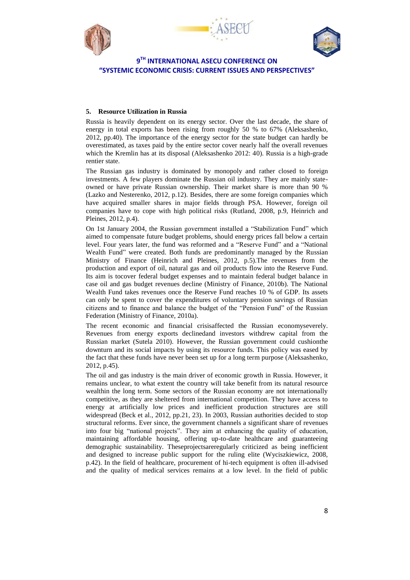





#### **5. Resource Utilization in Russia**

Russia is heavily dependent on its energy sector. Over the last decade, the share of energy in total exports has been rising from roughly 50 % to 67% (Aleksashenko, 2012, pp.40). The importance of the energy sector for the state budget can hardly be overestimated, as taxes paid by the entire sector cover nearly half the overall revenues which the Kremlin has at its disposal (Aleksashenko 2012: 40). Russia is a high-grade rentier state.

The Russian gas industry is dominated by monopoly and rather closed to foreign investments. A few players dominate the Russian oil industry. They are mainly stateowned or have private Russian ownership. Their market share is more than 90 % (Lazko and Nesterenko, 2012, p.12). Besides, there are some foreign companies which have acquired smaller shares in major fields through PSA. However, foreign oil companies have to cope with high political risks (Rutland, 2008, p.9, Heinrich and Pleines, 2012, p.4).

On 1st January 2004, the Russian government installed a "Stabilization Fund" which aimed to compensate future budget problems, should energy prices fall below a certain level. Four years later, the fund was reformed and a "Reserve Fund" and a "National Wealth Fund" were created. Both funds are predominantly managed by the Russian Ministry of Finance (Heinrich and Pleines, 2012, p.5).The revenues from the production and export of oil, natural gas and oil products flow into the Reserve Fund. Its aim is tocover federal budget expenses and to maintain federal budget balance in case oil and gas budget revenues decline (Ministry of Finance, 2010b). The National Wealth Fund takes revenues once the Reserve Fund reaches 10 % of GDP. Its assets can only be spent to cover the expenditures of voluntary pension savings of Russian citizens and to finance and balance the budget of the "Pension Fund" of the Russian Federation (Ministry of Finance, 2010a).

The recent economic and financial crisisaffected the Russian economyseverely. Revenues from energy exports declinedand investors withdrew capital from the Russian market (Sutela 2010). However, the Russian government could cushionthe downturn and its social impacts by using its resource funds. This policy was eased by the fact that these funds have never been set up for a long term purpose (Aleksashenko, 2012, p.45).

The oil and gas industry is the main driver of economic growth in Russia. However, it remains unclear, to what extent the country will take benefit from its natural resource wealthin the long term. Some sectors of the Russian economy are not internationally competitive, as they are sheltered from international competition. They have access to energy at artificially low prices and inefficient production structures are still widespread (Beck et al., 2012, pp.21, 23). In 2003, Russian authorities decided to stop structural reforms. Ever since, the government channels a significant share of revenues into four big "national projects". They aim at enhancing the quality of education, maintaining affordable housing, offering up-to-date healthcare and guaranteeing demographic sustainability. Theseprojectsareregularly criticized as being inefficient and designed to increase public support for the ruling elite (Wyciszkiewicz, 2008, p.42). In the field of healthcare, procurement of hi-tech equipment is often ill-advised and the quality of medical services remains at a low level. In the field of public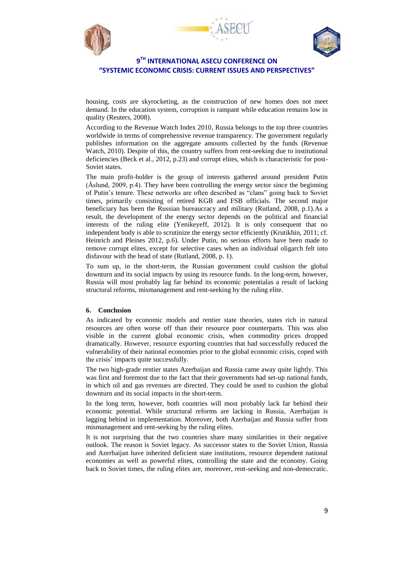





housing, costs are skyrocketing, as the construction of new homes does not meet demand. In the education system, corruption is rampant while education remains low in quality (Reuters, 2008).

According to the Revenue Watch Index 2010, Russia belongs to the top three countries worldwide in terms of comprehensive revenue transparency. The government regularly publishes information on the aggregate amounts collected by the funds (Revenue Watch, 2010). Despite of this, the country suffers from rent-seeking due to institutional deficiencies (Beck et al., 2012, p.23) and corrupt elites, which is characteristic for post-Soviet states.

The main profit-holder is the group of interests gathered around president Putin (Åslund, 2009, p.4). They have been controlling the energy sector since the beginning of Putin's tenure. These networks are often described as "clans" going back to Soviet times, primarily consisting of retired KGB and FSB officials. The second major beneficiary has been the Russian bureaucracy and military (Rutland, 2008, p.1).As a result, the development of the energy sector depends on the political and financial interests of the ruling elite (Yenikeyeff, 2012). It is only consequent that no independent body is able to scrutinize the energy sector efficiently (Krutikhin, 2011; cf. Heinrich and Pleines 2012, p.6). Under Putin, no serious efforts have been made to remove corrupt elites, except for selective cases when an individual oligarch felt into disfavour with the head of state (Rutland, 2008, p. 1).

To sum up, in the short-term, the Russian government could cushion the global downturn and its social impacts by using its resource funds. In the long-term, however, Russia will most probably lag far behind its economic potentialas a result of lacking structural reforms, mismanagement and rent-seeking by the ruling elite.

#### **6. Conclusion**

As indicated by economic models and rentier state theories, states rich in natural resources are often worse off than their resource poor counterparts. This was also visible in the current global economic crisis, when commodity prices dropped dramatically. However, resource exporting countries that had successfully reduced the vulnerability of their national economies prior to the global economic crisis, coped with the crisis' impacts quite successfully.

The two high-grade rentier states Azerbaijan and Russia came away quite lightly. This was first and foremost due to the fact that their governments had set-up national funds, in which oil and gas revenues are directed. They could be used to cushion the global downturn and its social impacts in the short-term.

In the long term, however, both countries will most probably lack far behind their economic potential. While structural reforms are lacking in Russia, Azerbaijan is lagging behind in implementation. Moreover, both Azerbaijan and Russia suffer from mismanagement and rent-seeking by the ruling elites.

It is not surprising that the two countries share many similarities in their negative outlook. The reason is Soviet legacy. As successor states to the Soviet Union, Russia and Azerbaijan have inherited deficient state institutions, resource dependent national economies as well as powerful elites, controlling the state and the economy. Going back to Soviet times, the ruling elites are, moreover, rent-seeking and non-democratic.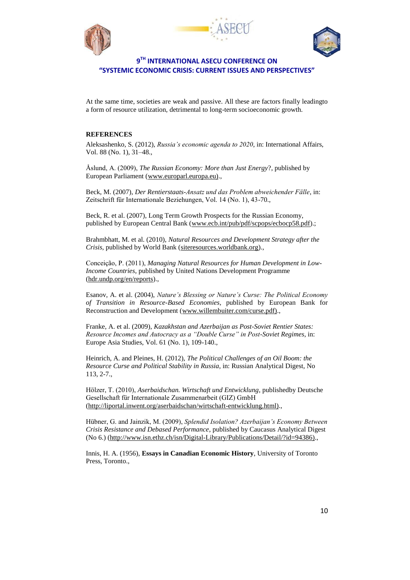





At the same time, societies are weak and passive. All these are factors finally leadingto a form of resource utilization, detrimental to long-term socioeconomic growth.

### **REFERENCES**

Aleksashenko, S. (2012), *Russia's economic agenda to 2020*, in: International Affairs, Vol. 88 (No. 1), 31–48.,

Åslund, A. (2009), *The Russian Economy: More than Just Energy*?, published by European Parliament [\(www.europarl.europa.eu\).](http://www.europarl.europa.eu)/),

Beck, M. (2007), *Der Rentierstaats-Ansatz und das Problem abweichender Fälle*, in: Zeitschrift für Internationale Beziehungen, Vol. 14 (No. 1), 43-70.,

Beck, R. et al. (2007), Long Term Growth Prospects for the Russian Economy, published by European Central Bank (www.ecb.int/pub/pdf/scpops/ecbocp58.pdf).;

Brahmbhatt, M. et al. (2010), *Natural Resources and Development Strategy after the Crisis*, published by World Bank (siteresources.worldbank.org).,

Conceição, P. (2011), *Managing Natural Resources for Human Development in Low-Income Countries*, published by United Nations Development Programme (hdr.undp.org/en/reports).,

Esanov, A. et al. (2004), *Nature's Blessing or Nature's Curse: The Political Economy of Transition in Resource-Based Economies*, published by European Bank for Reconstruction and Development [\(www.willembuiter.com/curse.pdf\).](http://www.willembuiter.com/curse.pdf)),

Franke, A. et al. (2009), *Kazakhstan and Azerbaijan as Post-Soviet Rentier States: Resource Incomes and Autocracy as a "Double Curse" in Post-Soviet Regimes*, in: Europe Asia Studies, Vol. 61 (No. 1), 109-140.,

Heinrich, A. and Pleines, H. (2012), *The Political Challenges of an Oil Boom: the Resource Curse and Political Stability in Russia*, in: Russian Analytical Digest, No 113, 2-7.,

Hölzer, T. (2010), *Aserbaidschan. Wirtschaft und Entwicklung*, publishedby Deutsche Gesellschaft für Internationale Zusammenarbeit (GIZ) GmbH [\(http://liportal.inwent.org/aserbaidschan/wirtschaft-entwicklung.html\).](http://liportal.inwent.org/aserbaidschan/wirtschaft-entwicklung.html)),

Hübner, G. and Jainzik, M. (2009), *Splendid Isolation? Azerbaijan's Economy Between Crisis Resistance and Debased Performance*, published by Caucasus Analytical Digest (No 6.) [\(http://www.isn.ethz.ch/isn/Digital-Library/Publications/Detail/?id=94386\).](http://www.isn.ethz.ch/isn/Digital-Library/Publications/Detail/?id=94386)),

Innis, H. A. (1956), **Essays in Canadian Economic History**, University of Toronto Press, Toronto.,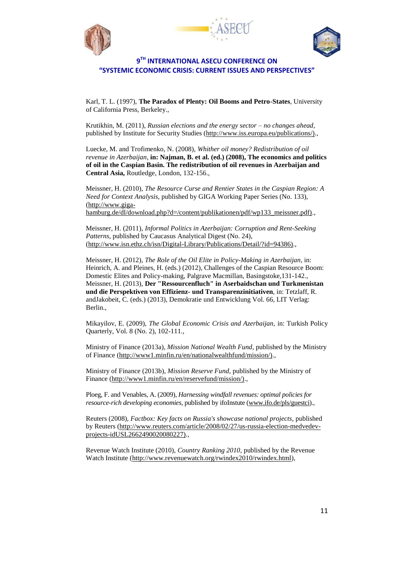





Karl, T. L. (1997), **The Paradox of Plenty: Oil Booms and Petro-States**, University of California Press, Berkeley.,

Krutikhin, M. (2011), *Russian elections and the energy sector – no changes ahead*, published by Institute for Security Studies [\(http://www.iss.europa.eu/publications/\).](http://www.iss.europa.eu/publications/)),

Luecke, M. and Trofimenko, N. (2008), *Whither oil money? Redistribution of oil revenue in Azerbaijan*, **in: Najman, B. et al. (ed.) (2008), The economics and politics of oil in the Caspian Basin. The redistribution of oil revenues in Azerbaijan and Central Asia,** Routledge, London, 132-156.,

Meissner, H. (2010), *The Resource Curse and Rentier States in the Caspian Region: A Need for Context Analysis*, published by GIGA Working Paper Series (No. 133), [\(http://www.giga](http://www.giga-hamburg.de/dl/download.php?d=/content/publikationen/pdf/wp133_meissner.pdf))[hamburg.de/dl/download.php?d=/content/publikationen/pdf/wp133\\_meissner.pdf\).,](http://www.giga-hamburg.de/dl/download.php?d=/content/publikationen/pdf/wp133_meissner.pdf))

Meissner, H. (2011), *Informal Politics in Azerbaijan: Corruption and Rent-Seeking Patterns*, published by Caucasus Analytical Digest (No. 24), [\(http://www.isn.ethz.ch/isn/Digital-Library/Publications/Detail/?id=94386\).](http://www.isn.ethz.ch/isn/Digital-Library/Publications/Detail/?id=94386)),

Meissner, H. (2012), *The Role of the Oil Elite in Policy-Making in Azerbaijan*, in: Heinrich, A. and Pleines, H. (eds.) (2012), Challenges of the Caspian Resource Boom: Domestic Elites and Policy-making, Palgrave Macmillan, Basingstoke,131-142., Meissner, H. (2013), **Der "Ressourcenfluch" in Aserbaidschan und Turkmenistan und die Perspektiven von Effizienz- und Transparenzinitiativen**, in: Tetzlaff, R. andJakobeit, C. (eds.) (2013), Demokratie und Entwicklung Vol. 66, LIT Verlag: Berlin.,

Mikayilov, E. (2009), *The Global Economic Crisis and Azerbaijan,* in: Turkish Policy Quarterly, Vol. 8 (No. 2), 102-111.,

Ministry of Finance (2013a), *Mission National Wealth Fund*, published by the Ministry of Finance [\(http://www1.minfin.ru/en/nationalwealthfund/mission/\).](http://www1.minfin.ru/en/nationalwealthfund/mission/)),

Ministry of Finance (2013b), *Mission Reserve Fund*, published by the Ministry of Finance [\(http://www1.minfin.ru/en/reservefund/mission/\).](http://www1.minfin.ru/en/reservefund/mission/)),

Ploeg, F. and Venables, A. (2009), *Harnessing windfall revenues: optimal policies for resource-rich developing economies*, published by ifoInstute [\(www.ifo.de/pls/guestci\).,](http://www.ifo.de/pls/guestci))

Reuters (2008), *Factbox: Key facts on Russia's showcase national projects*, published by Reuters [\(http://www.reuters.com/article/2008/02/27/us-russia-election-medvedev](http://www.reuters.com/article/2008/02/27/us-russia-election-medvedev-projects-idUSL2662490020080227))[projects-idUSL2662490020080227\).](http://www.reuters.com/article/2008/02/27/us-russia-election-medvedev-projects-idUSL2662490020080227)),

Revenue Watch Institute (2010), *Country Ranking 2010*, published by the Revenue Watch Institute [\(http://www.revenuewatch.org/rwindex2010/rwindex.html\)](http://www.revenuewatch.org/rwindex2010/rwindex.html),